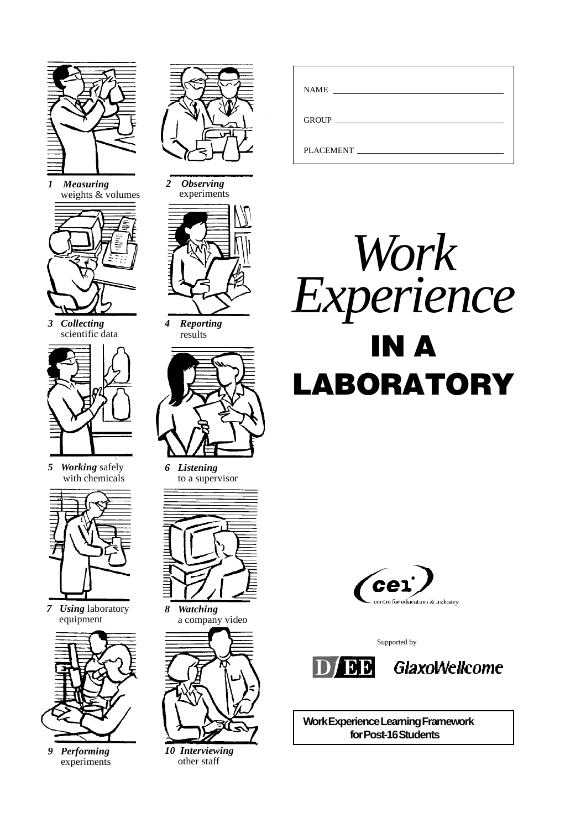

*1 Measuring* weights & volumes



*3 Collecting* scientific data



*5 Working* safely with chemicals



*7 Using* laboratory equipment



*9 Performing* experiments



*2 Observing* experiments



*4 Reporting* results



*6 Listening* to a supervisor



*8 Watching* a company video



*10 Interviewing* other staff

| <b>NAME</b><br><u> 1980 - Jan Stein Harry Stein Harry Stein Harry Stein Harry Stein Harry Stein Harry Stein Harry Stein Harry St</u> |
|--------------------------------------------------------------------------------------------------------------------------------------|
|                                                                                                                                      |
| PLACEMENT                                                                                                                            |





Supported by





**Work Experience Learning Framework for Post-16 Students**